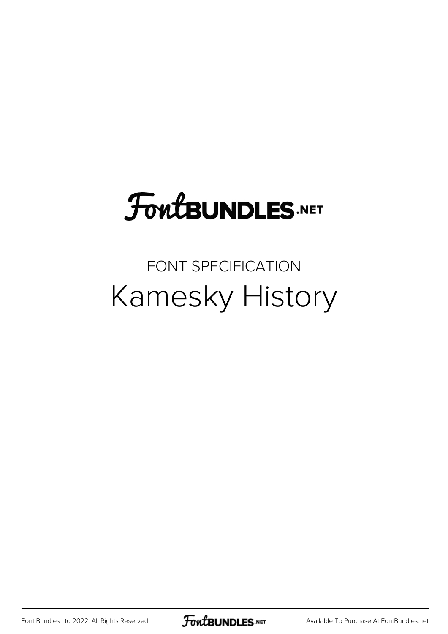# **FoutBUNDLES.NET**

### FONT SPECIFICATION Kamesky History

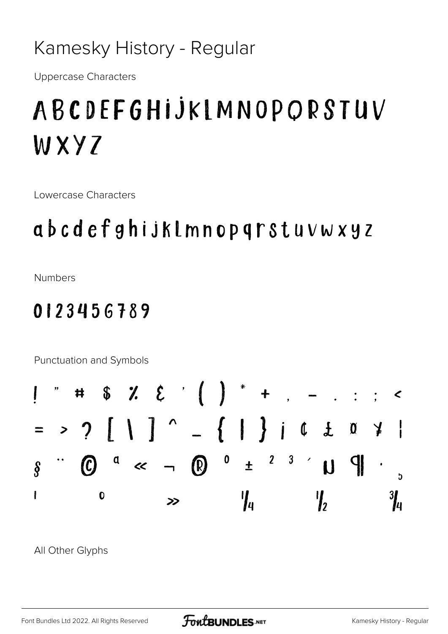#### Kamesky History - Regular

**Uppercase Characters** 

## ABCDEFGHIJKIMNOPORSTUV WXY7

Lowercase Characters

## abcdefghijklmnopqrstuvwxyz

**Numbers** 

### 0123456789

Punctuation and Symbols  $\overline{\bf H}$  $\overline{\phantom{a}}$  $\therefore$  <  $\pm$  <sup>2</sup> <sup>3</sup>  $\prime$  U  $\ll \circledR$   $^{\circ}$ d  $\mathcal{L}$  $\mathcal{C}$  $\hat{\S}$ I  $\frac{3}{4}$  $\mathbf 0$  $\frac{1}{4}$  $\int_2$  $\geq$ 

All Other Glyphs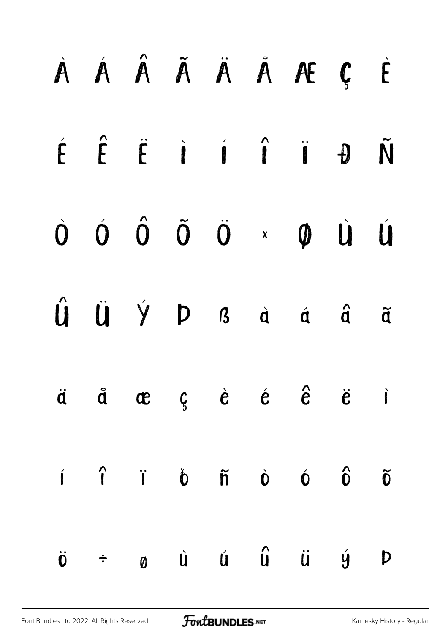|                            |  |  | À Á Â Ã Ä Ä Å Æ Ç È                                                                                                                                                                                                                                                       |   |
|----------------------------|--|--|---------------------------------------------------------------------------------------------------------------------------------------------------------------------------------------------------------------------------------------------------------------------------|---|
|                            |  |  | $\acute{E}$ $\acute{E}$ $\acute{E}$ $\acute{i}$ $\acute{i}$ $\acute{i}$ $\acute{j}$ $\acute{j}$ $\acute{D}$ $\tilde{N}$                                                                                                                                                   |   |
|                            |  |  | $\begin{matrix} 0 & 0 & 0 & \tilde{0} & 0 \end{matrix} \quad \begin{matrix} \ddot{0} & \ddot{0} & 0 \end{matrix} \quad \begin{matrix} \ddot{0} & \ddot{0} & 0 \end{matrix} \quad \begin{matrix} 0 & 0 & 0 \end{matrix} \quad \begin{matrix} \dot{0} & 0 & 0 \end{matrix}$ |   |
|                            |  |  | $\hat{u}$ $\ddot{u}$ $\dot{y}$ $p$ $a$ $\dot{a}$ $\dot{a}$ $\ddot{a}$                                                                                                                                                                                                     |   |
|                            |  |  | $\ddot{a}$ $\ddot{a}$ $\alpha$ $\beta$ $\dot{e}$ $\dot{e}$ $\ddot{e}$ $\ddot{e}$ $\ddot{e}$                                                                                                                                                                               |   |
|                            |  |  | $\hat{\mathbf{i}}$ $\hat{\mathbf{i}}$ $\hat{\mathbf{i}}$ $\hat{\mathbf{0}}$ $\hat{\mathbf{n}}$ $\hat{\mathbf{0}}$ $\hat{\mathbf{0}}$ $\hat{\mathbf{0}}$ $\hat{\mathbf{0}}$                                                                                                |   |
| $\ddot{\mathbf{0}}$ $\div$ |  |  | ø ù ú û ü ý                                                                                                                                                                                                                                                               | Þ |